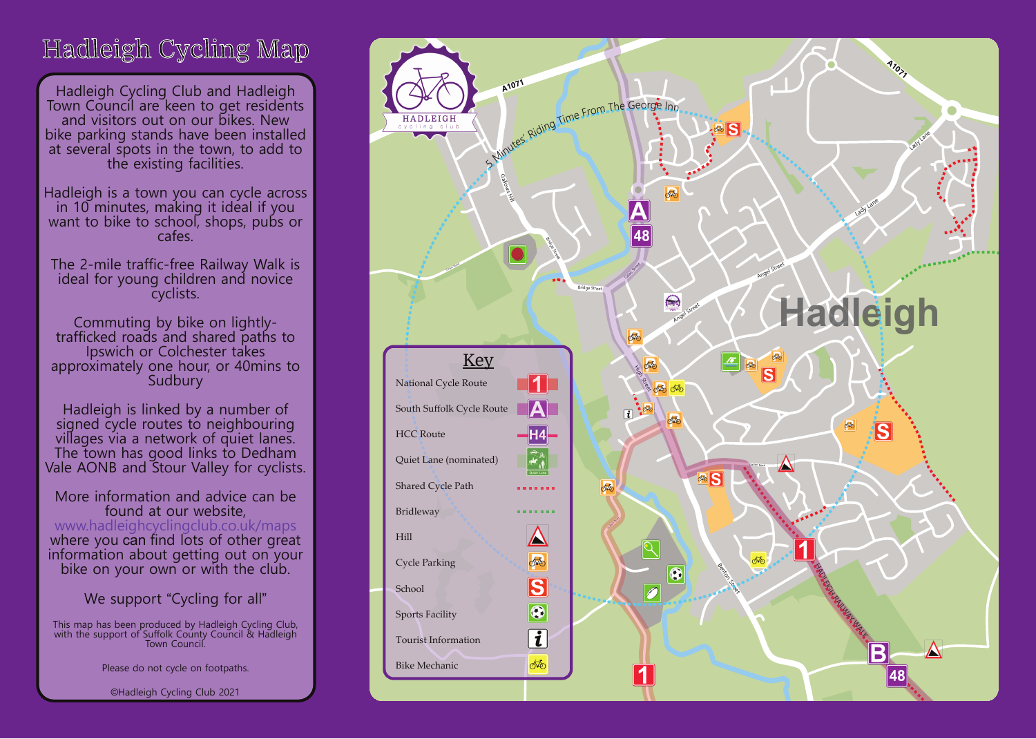## Hadleigh Cycling Map

Hadleigh Cycling Club and Hadleigh Town Council are keen to get residents and visitors out on our bikes. New bike parking stands have been installed at several spots in the town, to add to the existing facilities.

**A1071** in 10 minutes, making it ideal if you Hadleigh is a town you can cycle across want to bike to school, shops, pubs or cafes.

The 2-mile traffic-free Railway Walk is ideal for young children and novice cyclists.

Commuting by bike on lightlytrafficked roads and shared paths to Ipswich or Colchester takes approximately one hour, or 40mins to Sudbury

Hadleigh is linked by a number of signed cycle routes to neighbouring villages via a network of quiet lanes. The town has good links to Dedham Vale AONB and Stour Valley for cyclists.

More information and advice can be found at our website, www.hadleighcyclingclub.co.uk/maps where you can find lots of other great information about getting out on your bike on your own or with the club.

We support "Cycling for all"

This map has been produced by Hadleigh Cycling Club, with the support of Suffolk County Council & Hadleigh Town Council.

Please do not cycle on footpaths.

©Hadleigh Cycling Club 2021